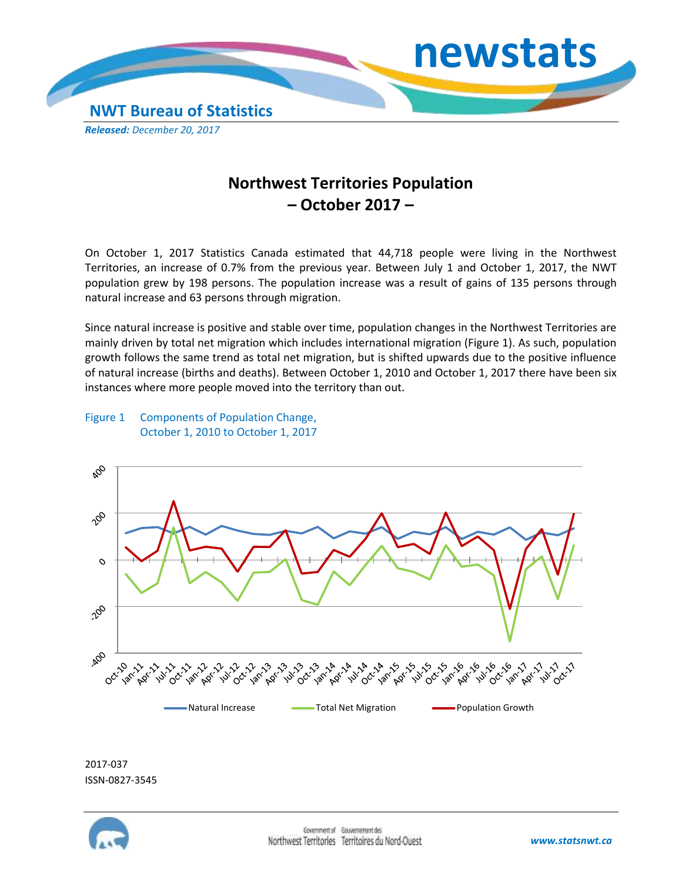

## **Northwest Territories Population – October 2017 –**

On October 1, 2017 Statistics Canada estimated that 44,718 people were living in the Northwest Territories, an increase of 0.7% from the previous year. Between July 1 and October 1, 2017, the NWT population grew by 198 persons. The population increase was a result of gains of 135 persons through natural increase and 63 persons through migration.

Since natural increase is positive and stable over time, population changes in the Northwest Territories are mainly driven by total net migration which includes international migration (Figure 1). As such, population growth follows the same trend as total net migration, but is shifted upwards due to the positive influence of natural increase (births and deaths). Between October 1, 2010 and October 1, 2017 there have been six instances where more people moved into the territory than out.

## Figure 1 Components of Population Change, October 1, 2010 to October 1, 2017



2017-037 ISSN-0827-3545

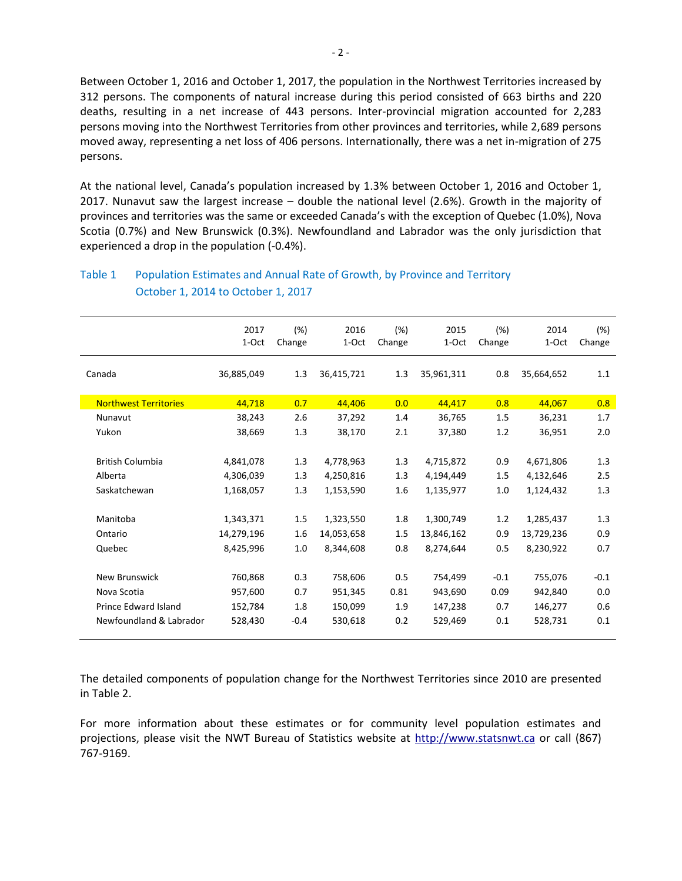Between October 1, 2016 and October 1, 2017, the population in the Northwest Territories increased by 312 persons. The components of natural increase during this period consisted of 663 births and 220 deaths, resulting in a net increase of 443 persons. Inter-provincial migration accounted for 2,283 persons moving into the Northwest Territories from other provinces and territories, while 2,689 persons moved away, representing a net loss of 406 persons. Internationally, there was a net in-migration of 275 persons.

At the national level, Canada's population increased by 1.3% between October 1, 2016 and October 1, 2017. Nunavut saw the largest increase – double the national level (2.6%). Growth in the majority of provinces and territories was the same or exceeded Canada's with the exception of Quebec (1.0%), Nova Scotia (0.7%) and New Brunswick (0.3%). Newfoundland and Labrador was the only jurisdiction that experienced a drop in the population (-0.4%).

|                              | 2017<br>1-Oct | (%)<br>Change | 2016<br>1-Oct | (%)<br>Change | 2015<br>1-Oct | (%)<br>Change | 2014<br>1-Oct | $(\%)$<br>Change |
|------------------------------|---------------|---------------|---------------|---------------|---------------|---------------|---------------|------------------|
| Canada                       | 36,885,049    | 1.3           | 36,415,721    | 1.3           | 35,961,311    | 0.8           | 35,664,652    | 1.1              |
| <b>Northwest Territories</b> | 44,718        | 0.7           | 44,406        | 0.0           | 44,417        | 0.8           | 44,067        | 0.8              |
| Nunavut                      | 38,243        | 2.6           | 37,292        | 1.4           | 36,765        | 1.5           | 36,231        | 1.7              |
| Yukon                        | 38,669        | 1.3           | 38,170        | 2.1           | 37,380        | 1.2           | 36,951        | 2.0              |
| <b>British Columbia</b>      | 4,841,078     | 1.3           | 4,778,963     | 1.3           | 4,715,872     | 0.9           | 4,671,806     | 1.3              |
| Alberta                      | 4,306,039     | 1.3           | 4,250,816     | 1.3           | 4,194,449     | 1.5           | 4,132,646     | 2.5              |
| Saskatchewan                 | 1,168,057     | 1.3           | 1,153,590     | 1.6           | 1,135,977     | 1.0           | 1,124,432     | 1.3              |
| Manitoba                     | 1,343,371     | 1.5           | 1,323,550     | 1.8           | 1,300,749     | 1.2           | 1,285,437     | 1.3              |
| Ontario                      | 14,279,196    | 1.6           | 14,053,658    | 1.5           | 13,846,162    | 0.9           | 13,729,236    | 0.9              |
| Quebec                       | 8,425,996     | 1.0           | 8,344,608     | 0.8           | 8,274,644     | 0.5           | 8,230,922     | 0.7              |
| New Brunswick                | 760,868       | 0.3           | 758,606       | 0.5           | 754,499       | $-0.1$        | 755,076       | $-0.1$           |
| Nova Scotia                  | 957,600       | 0.7           | 951,345       | 0.81          | 943,690       | 0.09          | 942,840       | 0.0              |
| <b>Prince Edward Island</b>  | 152,784       | 1.8           | 150,099       | 1.9           | 147,238       | 0.7           | 146,277       | 0.6              |
| Newfoundland & Labrador      | 528,430       | $-0.4$        | 530,618       | 0.2           | 529,469       | 0.1           | 528,731       | 0.1              |

## Table 1 Population Estimates and Annual Rate of Growth, by Province and Territory October 1, 2014 to October 1, 2017

The detailed components of population change for the Northwest Territories since 2010 are presented in Table 2.

For more information about these estimates or for community level population estimates and projections, please visit the NWT Bureau of Statistics website at http://www.statsnwt.ca or call (867) 767-9169.